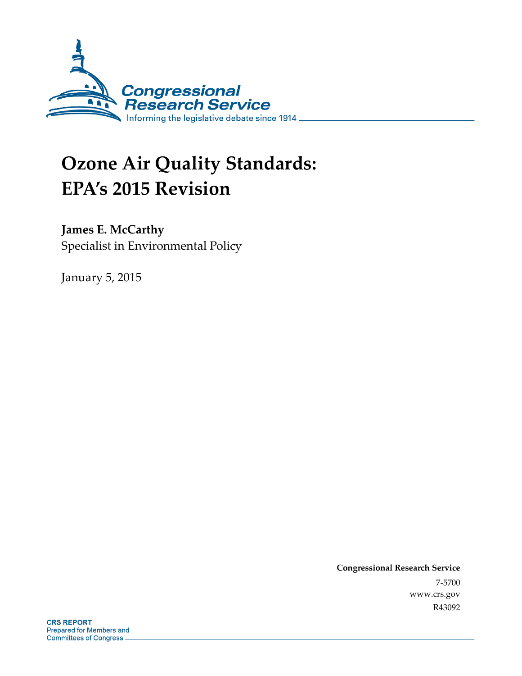

# **Ozone Air Quality Standards: EPA's 2015 Revision**

### **James E. McCarthy**

Specialist in Environmental Policy

January 5, 2015

**Congressional Research Service**  7-5700 www.crs.gov R43092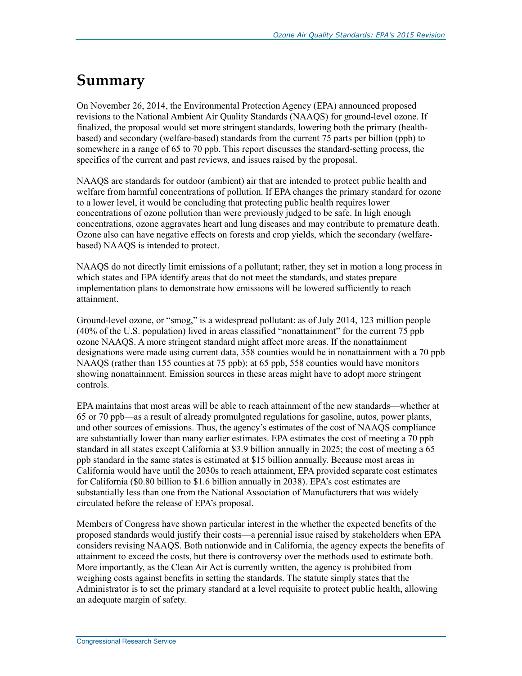## **Summary**

On November 26, 2014, the Environmental Protection Agency (EPA) announced proposed revisions to the National Ambient Air Quality Standards (NAAQS) for ground-level ozone. If finalized, the proposal would set more stringent standards, lowering both the primary (healthbased) and secondary (welfare-based) standards from the current 75 parts per billion (ppb) to somewhere in a range of 65 to 70 ppb. This report discusses the standard-setting process, the specifics of the current and past reviews, and issues raised by the proposal.

NAAQS are standards for outdoor (ambient) air that are intended to protect public health and welfare from harmful concentrations of pollution. If EPA changes the primary standard for ozone to a lower level, it would be concluding that protecting public health requires lower concentrations of ozone pollution than were previously judged to be safe. In high enough concentrations, ozone aggravates heart and lung diseases and may contribute to premature death. Ozone also can have negative effects on forests and crop yields, which the secondary (welfarebased) NAAQS is intended to protect.

NAAQS do not directly limit emissions of a pollutant; rather, they set in motion a long process in which states and EPA identify areas that do not meet the standards, and states prepare implementation plans to demonstrate how emissions will be lowered sufficiently to reach attainment.

Ground-level ozone, or "smog," is a widespread pollutant: as of July 2014, 123 million people (40% of the U.S. population) lived in areas classified "nonattainment" for the current 75 ppb ozone NAAQS. A more stringent standard might affect more areas. If the nonattainment designations were made using current data, 358 counties would be in nonattainment with a 70 ppb NAAQS (rather than 155 counties at 75 ppb); at 65 ppb, 558 counties would have monitors showing nonattainment. Emission sources in these areas might have to adopt more stringent controls.

EPA maintains that most areas will be able to reach attainment of the new standards—whether at 65 or 70 ppb—as a result of already promulgated regulations for gasoline, autos, power plants, and other sources of emissions. Thus, the agency's estimates of the cost of NAAQS compliance are substantially lower than many earlier estimates. EPA estimates the cost of meeting a 70 ppb standard in all states except California at \$3.9 billion annually in 2025; the cost of meeting a 65 ppb standard in the same states is estimated at \$15 billion annually. Because most areas in California would have until the 2030s to reach attainment, EPA provided separate cost estimates for California (\$0.80 billion to \$1.6 billion annually in 2038). EPA's cost estimates are substantially less than one from the National Association of Manufacturers that was widely circulated before the release of EPA's proposal.

Members of Congress have shown particular interest in the whether the expected benefits of the proposed standards would justify their costs—a perennial issue raised by stakeholders when EPA considers revising NAAQS. Both nationwide and in California, the agency expects the benefits of attainment to exceed the costs, but there is controversy over the methods used to estimate both. More importantly, as the Clean Air Act is currently written, the agency is prohibited from weighing costs against benefits in setting the standards. The statute simply states that the Administrator is to set the primary standard at a level requisite to protect public health, allowing an adequate margin of safety.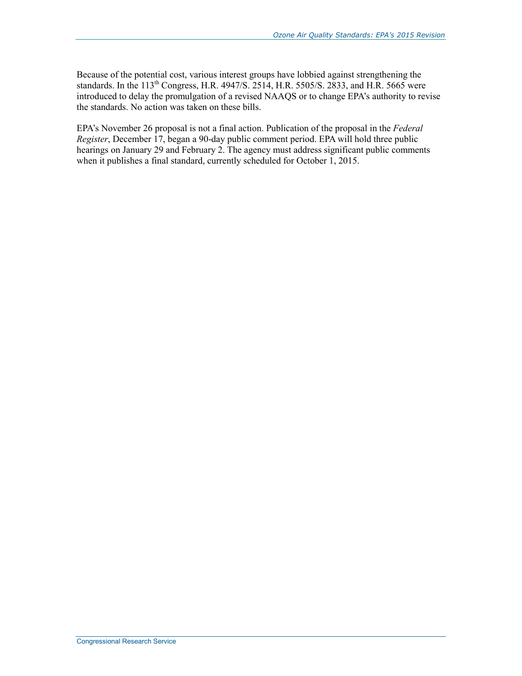Because of the potential cost, various interest groups have lobbied against strengthening the standards. In the 113<sup>th</sup> Congress, H.R. 4947/S. 2514, H.R. 5505/S. 2833, and H.R. 5665 were introduced to delay the promulgation of a revised NAAQS or to change EPA's authority to revise the standards. No action was taken on these bills.

EPA's November 26 proposal is not a final action. Publication of the proposal in the *Federal Register*, December 17, began a 90-day public comment period. EPA will hold three public hearings on January 29 and February 2. The agency must address significant public comments when it publishes a final standard, currently scheduled for October 1, 2015.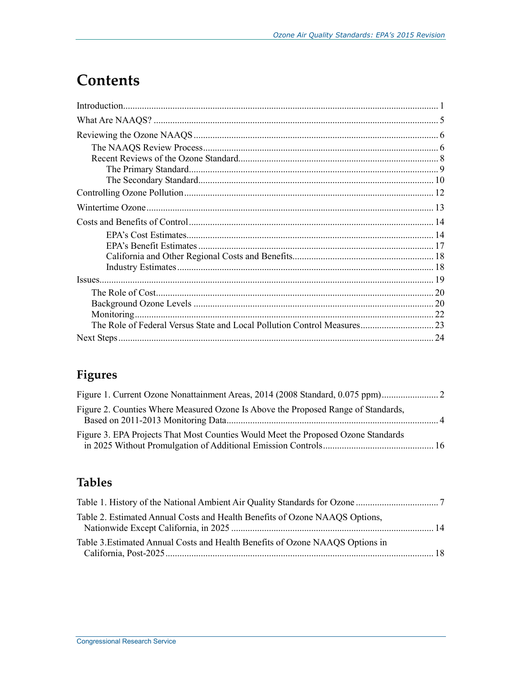## **Contents**

## Figures

| Figure 2. Counties Where Measured Ozone Is Above the Proposed Range of Standards, |  |
|-----------------------------------------------------------------------------------|--|
| Figure 3. EPA Projects That Most Counties Would Meet the Proposed Ozone Standards |  |

### **Tables**

| Table 2. Estimated Annual Costs and Health Benefits of Ozone NAAQS Options,   |  |
|-------------------------------------------------------------------------------|--|
| Table 3. Estimated Annual Costs and Health Benefits of Ozone NAAQS Options in |  |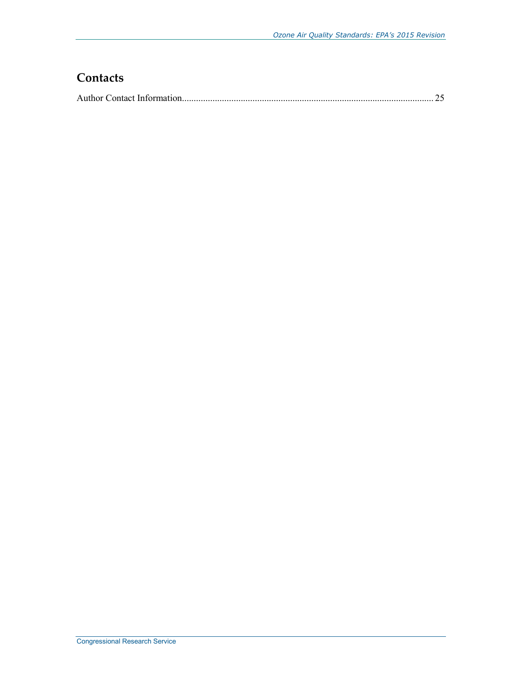### **Contacts**

|--|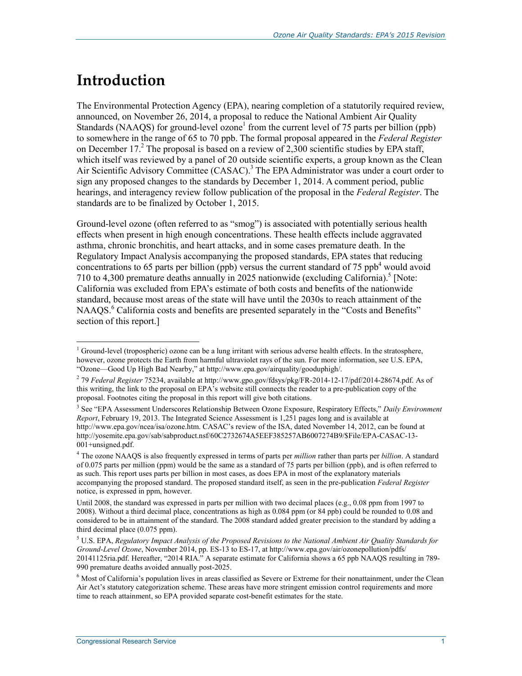## **Introduction**

The Environmental Protection Agency (EPA), nearing completion of a statutorily required review, announced, on November 26, 2014, a proposal to reduce the National Ambient Air Quality Standards (NAAQS) for ground-level  $\overline{o}$ zone<sup>1</sup> from the current level of 75 parts per billion (ppb) to somewhere in the range of 65 to 70 ppb. The formal proposal appeared in the *Federal Register* on December 17.<sup>2</sup> The proposal is based on a review of 2,300 scientific studies by EPA staff, which itself was reviewed by a panel of 20 outside scientific experts, a group known as the Clean Air Scientific Advisory Committee (CASAC).<sup>3</sup> The EPA Administrator was under a court order to sign any proposed changes to the standards by December 1, 2014. A comment period, public hearings, and interagency review follow publication of the proposal in the *Federal Register*. The standards are to be finalized by October 1, 2015.

Ground-level ozone (often referred to as "smog") is associated with potentially serious health effects when present in high enough concentrations. These health effects include aggravated asthma, chronic bronchitis, and heart attacks, and in some cases premature death. In the Regulatory Impact Analysis accompanying the proposed standards, EPA states that reducing concentrations to 65 parts per billion (ppb) versus the current standard of 75 ppb<sup>4</sup> would avoid 710 to 4,300 premature deaths annually in 2025 nationwide (excluding California).<sup>5</sup> [Note: California was excluded from EPA's estimate of both costs and benefits of the nationwide standard, because most areas of the state will have until the 2030s to reach attainment of the NAAQS.<sup>6</sup> California costs and benefits are presented separately in the "Costs and Benefits" section of this report.]

<sup>1</sup> <sup>1</sup> Ground-level (tropospheric) ozone can be a lung irritant with serious adverse health effects. In the stratosphere, however, ozone protects the Earth from harmful ultraviolet rays of the sun. For more information, see U.S. EPA, "Ozone—Good Up High Bad Nearby," at http://www.epa.gov/airquality/gooduphigh/.

<sup>2</sup> 79 *Federal Register* 75234, available at http://www.gpo.gov/fdsys/pkg/FR-2014-12-17/pdf/2014-28674.pdf. As of this writing, the link to the proposal on EPA's website still connects the reader to a pre-publication copy of the proposal. Footnotes citing the proposal in this report will give both citations.

<sup>3</sup> See "EPA Assessment Underscores Relationship Between Ozone Exposure, Respiratory Effects," *Daily Environment Report*, February 19, 2013. The Integrated Science Assessment is 1,251 pages long and is available at http://www.epa.gov/ncea/isa/ozone.htm. CASAC's review of the ISA, dated November 14, 2012, can be found at http://yosemite.epa.gov/sab/sabproduct.nsf/60C2732674A5EEF385257AB6007274B9/\$File/EPA-CASAC-13- 001+unsigned.pdf.

<sup>4</sup> The ozone NAAQS is also frequently expressed in terms of parts per *million* rather than parts per *billion*. A standard of 0.075 parts per million (ppm) would be the same as a standard of 75 parts per billion (ppb), and is often referred to as such. This report uses parts per billion in most cases, as does EPA in most of the explanatory materials accompanying the proposed standard. The proposed standard itself, as seen in the pre-publication *Federal Register* notice, is expressed in ppm, however.

Until 2008, the standard was expressed in parts per million with two decimal places (e.g., 0.08 ppm from 1997 to 2008). Without a third decimal place, concentrations as high as 0.084 ppm (or 84 ppb) could be rounded to 0.08 and considered to be in attainment of the standard. The 2008 standard added greater precision to the standard by adding a third decimal place (0.075 ppm).

<sup>5</sup> U.S. EPA, *Regulatory Impact Analysis of the Proposed Revisions to the National Ambient Air Quality Standards for Ground-Level Ozone*, November 2014, pp. ES-13 to ES-17, at http://www.epa.gov/air/ozonepollution/pdfs/ 20141125ria.pdf. Hereafter, "2014 RIA." A separate estimate for California shows a 65 ppb NAAQS resulting in 789- 990 premature deaths avoided annually post-2025.

<sup>&</sup>lt;sup>6</sup> Most of California's population lives in areas classified as Severe or Extreme for their nonattainment, under the Clean Air Act's statutory categorization scheme. These areas have more stringent emission control requirements and more time to reach attainment, so EPA provided separate cost-benefit estimates for the state.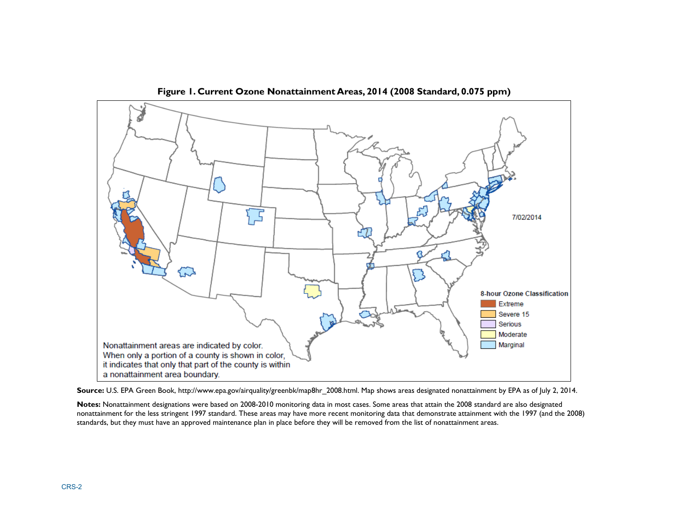

**Figure 1. Current Ozone Nonattainment Areas, 2014 (2008 Standard, 0.075 ppm)** 

**Source:** U.S. EPA Green Book, http://www.epa.gov/airquality/greenbk/map8hr\_2008.html. Map shows areas designated nonattainment by EPA as of July 2, 2014.

**Notes:** Nonattainment designations were based on 2008-2010 monitoring data in most cases. Some areas that attain the 2008 standard are also designated nonattainment for the less stringent 1997 standard. These areas may have more recent monitoring data that demonstrate attainment with the 1997 (and the 2008) standards, but they must have an approved maintenance plan in place before they will be removed from the list of nonattainment areas.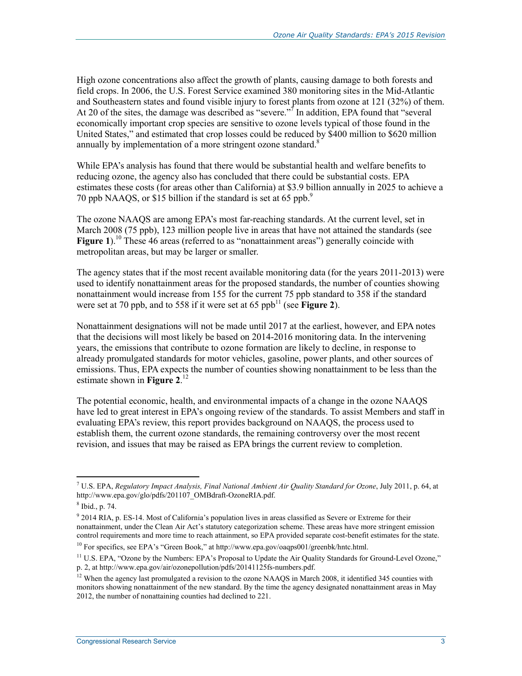High ozone concentrations also affect the growth of plants, causing damage to both forests and field crops. In 2006, the U.S. Forest Service examined 380 monitoring sites in the Mid-Atlantic and Southeastern states and found visible injury to forest plants from ozone at 121 (32%) of them. At 20 of the sites, the damage was described as "severe."<sup> $\tau$ </sup> In addition, EPA found that "several economically important crop species are sensitive to ozone levels typical of those found in the United States," and estimated that crop losses could be reduced by \$400 million to \$620 million annually by implementation of a more stringent ozone standard.<sup>8</sup>

While EPA's analysis has found that there would be substantial health and welfare benefits to reducing ozone, the agency also has concluded that there could be substantial costs. EPA estimates these costs (for areas other than California) at \$3.9 billion annually in 2025 to achieve a 70 ppb NAAQS, or \$15 billion if the standard is set at 65 ppb.<sup>9</sup>

The ozone NAAQS are among EPA's most far-reaching standards. At the current level, set in March 2008 (75 ppb), 123 million people live in areas that have not attained the standards (see **Figure 1**).<sup>10</sup> These 46 areas (referred to as "nonattainment areas") generally coincide with metropolitan areas, but may be larger or smaller.

The agency states that if the most recent available monitoring data (for the years 2011-2013) were used to identify nonattainment areas for the proposed standards, the number of counties showing nonattainment would increase from 155 for the current 75 ppb standard to 358 if the standard were set at 70 ppb, and to 558 if it were set at 65  $ppb<sup>11</sup>$  (see **Figure 2**).

Nonattainment designations will not be made until 2017 at the earliest, however, and EPA notes that the decisions will most likely be based on 2014-2016 monitoring data. In the intervening years, the emissions that contribute to ozone formation are likely to decline, in response to already promulgated standards for motor vehicles, gasoline, power plants, and other sources of emissions. Thus, EPA expects the number of counties showing nonattainment to be less than the estimate shown in **Figure 2**. 12

The potential economic, health, and environmental impacts of a change in the ozone NAAQS have led to great interest in EPA's ongoing review of the standards. To assist Members and staff in evaluating EPA's review, this report provides background on NAAQS, the process used to establish them, the current ozone standards, the remaining controversy over the most recent revision, and issues that may be raised as EPA brings the current review to completion.

<sup>7</sup> U.S. EPA, *Regulatory Impact Analysis, Final National Ambient Air Quality Standard for Ozone*, July 2011, p. 64, at http://www.epa.gov/glo/pdfs/201107\_OMBdraft-OzoneRIA.pdf.

<sup>8</sup> Ibid., p. 74.

<sup>&</sup>lt;sup>9</sup> 2014 RIA, p. ES-14. Most of California's population lives in areas classified as Severe or Extreme for their nonattainment, under the Clean Air Act's statutory categorization scheme. These areas have more stringent emission control requirements and more time to reach attainment, so EPA provided separate cost-benefit estimates for the state.

 $10$  For specifics, see EPA's "Green Book," at http://www.epa.gov/oaqps001/greenbk/hntc.html.

<sup>&</sup>lt;sup>11</sup> U.S. EPA, "Ozone by the Numbers: EPA's Proposal to Update the Air Quality Standards for Ground-Level Ozone," p. 2, at http://www.epa.gov/air/ozonepollution/pdfs/20141125fs-numbers.pdf.

<sup>&</sup>lt;sup>12</sup> When the agency last promulgated a revision to the ozone NAAQS in March 2008, it identified 345 counties with monitors showing nonattainment of the new standard. By the time the agency designated nonattainment areas in May 2012, the number of nonattaining counties had declined to 221.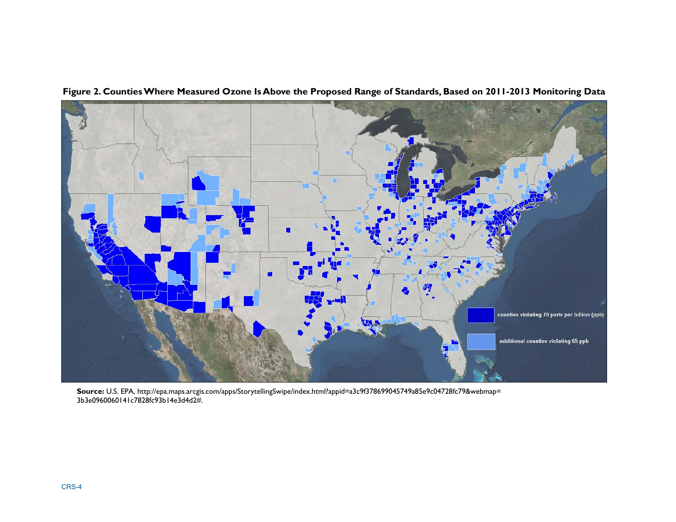

**Figure 2. Counties Where Measured Ozone Is Above the Proposed Range of Standards, Based on 2011-2013 Monitoring Data** 

**Source:** U.S. EPA, http://epa.maps.arcgis.com/apps/StorytellingSwipe/index.html?appid=a3c9f378699045749a85e9c04728fc79&webmap= 3b3e0960060141c7828fc93b14e3d4d2#.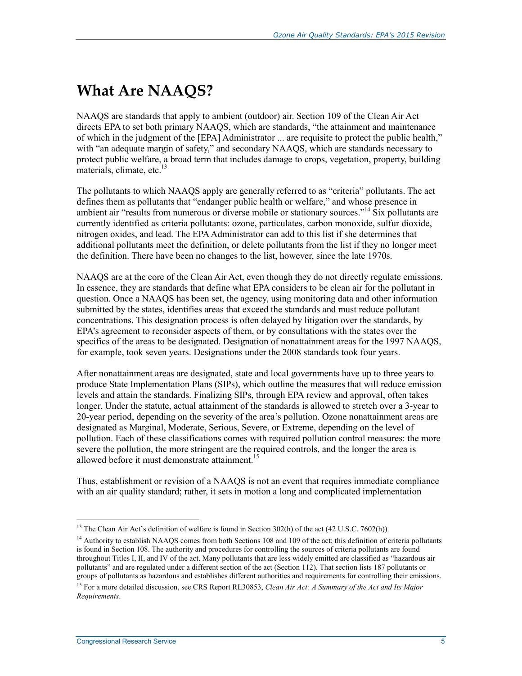## **What Are NAAQS?**

NAAQS are standards that apply to ambient (outdoor) air. Section 109 of the Clean Air Act directs EPA to set both primary NAAQS, which are standards, "the attainment and maintenance of which in the judgment of the [EPA] Administrator ... are requisite to protect the public health," with "an adequate margin of safety," and secondary NAAQS, which are standards necessary to protect public welfare, a broad term that includes damage to crops, vegetation, property, building materials, climate, etc. $13$ 

The pollutants to which NAAQS apply are generally referred to as "criteria" pollutants. The act defines them as pollutants that "endanger public health or welfare," and whose presence in ambient air "results from numerous or diverse mobile or stationary sources."<sup>14</sup> Six pollutants are currently identified as criteria pollutants: ozone, particulates, carbon monoxide, sulfur dioxide, nitrogen oxides, and lead. The EPA Administrator can add to this list if she determines that additional pollutants meet the definition, or delete pollutants from the list if they no longer meet the definition. There have been no changes to the list, however, since the late 1970s.

NAAQS are at the core of the Clean Air Act, even though they do not directly regulate emissions. In essence, they are standards that define what EPA considers to be clean air for the pollutant in question. Once a NAAQS has been set, the agency, using monitoring data and other information submitted by the states, identifies areas that exceed the standards and must reduce pollutant concentrations. This designation process is often delayed by litigation over the standards, by EPA's agreement to reconsider aspects of them, or by consultations with the states over the specifics of the areas to be designated. Designation of nonattainment areas for the 1997 NAAQS, for example, took seven years. Designations under the 2008 standards took four years.

After nonattainment areas are designated, state and local governments have up to three years to produce State Implementation Plans (SIPs), which outline the measures that will reduce emission levels and attain the standards. Finalizing SIPs, through EPA review and approval, often takes longer. Under the statute, actual attainment of the standards is allowed to stretch over a 3-year to 20-year period, depending on the severity of the area's pollution. Ozone nonattainment areas are designated as Marginal, Moderate, Serious, Severe, or Extreme, depending on the level of pollution. Each of these classifications comes with required pollution control measures: the more severe the pollution, the more stringent are the required controls, and the longer the area is allowed before it must demonstrate attainment.<sup>15</sup>

Thus, establishment or revision of a NAAQS is not an event that requires immediate compliance with an air quality standard; rather, it sets in motion a long and complicated implementation

<sup>&</sup>lt;sup>13</sup> The Clean Air Act's definition of welfare is found in Section 302(h) of the act (42 U.S.C. 7602(h)).

 $<sup>14</sup>$  Authority to establish NAAOS comes from both Sections 108 and 109 of the act; this definition of criteria pollutants</sup> is found in Section 108. The authority and procedures for controlling the sources of criteria pollutants are found throughout Titles I, II, and IV of the act. Many pollutants that are less widely emitted are classified as "hazardous air pollutants" and are regulated under a different section of the act (Section 112). That section lists 187 pollutants or groups of pollutants as hazardous and establishes different authorities and requirements for controlling their emissions.

<sup>15</sup> For a more detailed discussion, see CRS Report RL30853, *Clean Air Act: A Summary of the Act and Its Major Requirements*.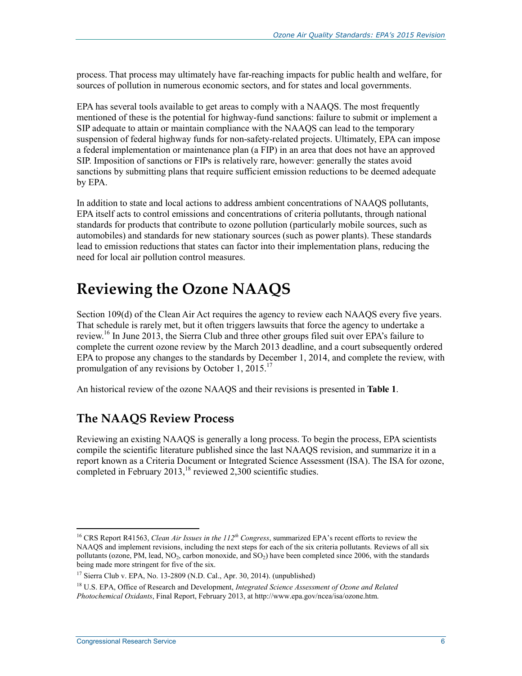process. That process may ultimately have far-reaching impacts for public health and welfare, for sources of pollution in numerous economic sectors, and for states and local governments.

EPA has several tools available to get areas to comply with a NAAQS. The most frequently mentioned of these is the potential for highway-fund sanctions: failure to submit or implement a SIP adequate to attain or maintain compliance with the NAAQS can lead to the temporary suspension of federal highway funds for non-safety-related projects. Ultimately, EPA can impose a federal implementation or maintenance plan (a FIP) in an area that does not have an approved SIP. Imposition of sanctions or FIPs is relatively rare, however: generally the states avoid sanctions by submitting plans that require sufficient emission reductions to be deemed adequate by EPA.

In addition to state and local actions to address ambient concentrations of NAAQS pollutants, EPA itself acts to control emissions and concentrations of criteria pollutants, through national standards for products that contribute to ozone pollution (particularly mobile sources, such as automobiles) and standards for new stationary sources (such as power plants). These standards lead to emission reductions that states can factor into their implementation plans, reducing the need for local air pollution control measures.

## **Reviewing the Ozone NAAQS**

Section 109(d) of the Clean Air Act requires the agency to review each NAAQS every five years. That schedule is rarely met, but it often triggers lawsuits that force the agency to undertake a review.<sup>16</sup> In June 2013, the Sierra Club and three other groups filed suit over EPA's failure to complete the current ozone review by the March 2013 deadline, and a court subsequently ordered EPA to propose any changes to the standards by December 1, 2014, and complete the review, with promulgation of any revisions by October 1, 2015.<sup>17</sup>

An historical review of the ozone NAAQS and their revisions is presented in **Table 1**.

### **The NAAQS Review Process**

Reviewing an existing NAAQS is generally a long process. To begin the process, EPA scientists compile the scientific literature published since the last NAAQS revision, and summarize it in a report known as a Criteria Document or Integrated Science Assessment (ISA). The ISA for ozone, completed in February 2013,<sup>18</sup> reviewed 2,300 scientific studies.

<sup>16</sup> CRS Report R41563, *Clean Air Issues in the 112th Congress*, summarized EPA's recent efforts to review the NAAQS and implement revisions, including the next steps for each of the six criteria pollutants. Reviews of all six pollutants (ozone, PM, lead,  $NO<sub>2</sub>$ , carbon monoxide, and  $SO<sub>2</sub>$ ) have been completed since 2006, with the standards being made more stringent for five of the six.

<sup>17</sup> Sierra Club v. EPA, No. 13-2809 (N.D. Cal., Apr. 30, 2014). (unpublished)

<sup>18</sup> U.S. EPA, Office of Research and Development, *Integrated Science Assessment of Ozone and Related Photochemical Oxidants*, Final Report, February 2013, at http://www.epa.gov/ncea/isa/ozone.htm.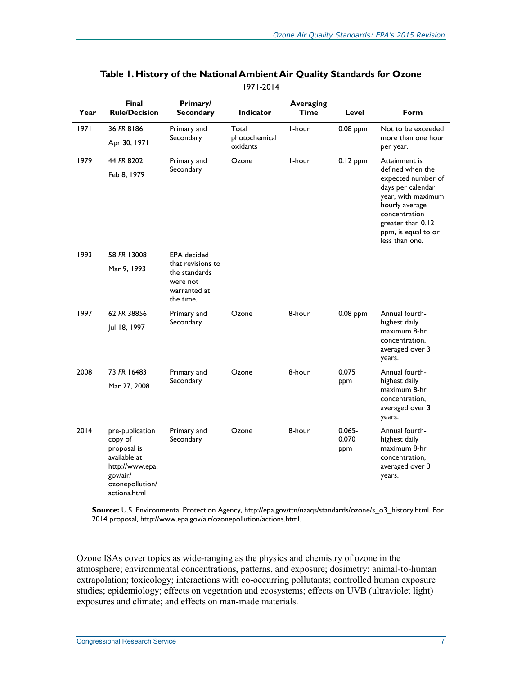| Year | <b>Final</b><br><b>Rule/Decision</b>                                                                                        | Primary/<br><b>Secondary</b>                                                | <b>Indicator</b>          | <b>Averaging</b><br><b>Time</b> | Level                           | Form                                                                                                                                                                               |
|------|-----------------------------------------------------------------------------------------------------------------------------|-----------------------------------------------------------------------------|---------------------------|---------------------------------|---------------------------------|------------------------------------------------------------------------------------------------------------------------------------------------------------------------------------|
| 1971 | 36 FR 8186                                                                                                                  | Primary and                                                                 | Total                     | I-hour                          | 0.08 ppm                        | Not to be exceeded                                                                                                                                                                 |
|      | Apr 30, 1971                                                                                                                | Secondary                                                                   | photochemical<br>oxidants |                                 | more than one hour<br>per year. |                                                                                                                                                                                    |
| 1979 | 44 FR 8202                                                                                                                  | Primary and                                                                 | Ozone                     | I-hour                          | $0.12$ ppm                      | Attainment is                                                                                                                                                                      |
|      | Feb 8, 1979                                                                                                                 | Secondary                                                                   |                           |                                 |                                 | defined when the<br>expected number of<br>days per calendar<br>year, with maximum<br>hourly average<br>concentration<br>greater than 0.12<br>ppm, is equal to or<br>less than one. |
| 1993 | 58 FR 13008                                                                                                                 | <b>EPA</b> decided                                                          |                           |                                 |                                 |                                                                                                                                                                                    |
|      | Mar 9, 1993                                                                                                                 | that revisions to<br>the standards<br>were not<br>warranted at<br>the time. |                           |                                 |                                 |                                                                                                                                                                                    |
| 1997 | 62 FR 38856                                                                                                                 | Primary and                                                                 | Ozone                     | 8-hour                          | $0.08$ ppm                      | Annual fourth-                                                                                                                                                                     |
|      | Jul 18, 1997                                                                                                                | Secondary                                                                   |                           |                                 |                                 | highest daily<br>maximum 8-hr<br>concentration,<br>averaged over 3<br>years.                                                                                                       |
| 2008 | 73 FR 16483                                                                                                                 | Primary and                                                                 | Ozone                     | 8-hour                          | 0.075                           | Annual fourth-                                                                                                                                                                     |
|      | Mar 27, 2008                                                                                                                | Secondary                                                                   |                           |                                 | ppm                             | highest daily<br>maximum 8-hr<br>concentration,<br>averaged over 3<br>years.                                                                                                       |
| 2014 | pre-publication<br>copy of<br>proposal is<br>available at<br>http://www.epa.<br>gov/air/<br>ozonepollution/<br>actions.html | Primary and<br>Secondary                                                    | Ozone                     | 8-hour                          | $0.065 -$<br>0.070<br>ppm       | Annual fourth-<br>highest daily<br>maximum 8-hr<br>concentration,<br>averaged over 3<br>years.                                                                                     |

#### **Table 1. History of the National Ambient Air Quality Standards for Ozone**  1971-2014

**Source:** U.S. Environmental Protection Agency, http://epa.gov/ttn/naaqs/standards/ozone/s\_o3\_history.html. For 2014 proposal, http://www.epa.gov/air/ozonepollution/actions.html.

Ozone ISAs cover topics as wide-ranging as the physics and chemistry of ozone in the atmosphere; environmental concentrations, patterns, and exposure; dosimetry; animal-to-human extrapolation; toxicology; interactions with co-occurring pollutants; controlled human exposure studies; epidemiology; effects on vegetation and ecosystems; effects on UVB (ultraviolet light) exposures and climate; and effects on man-made materials.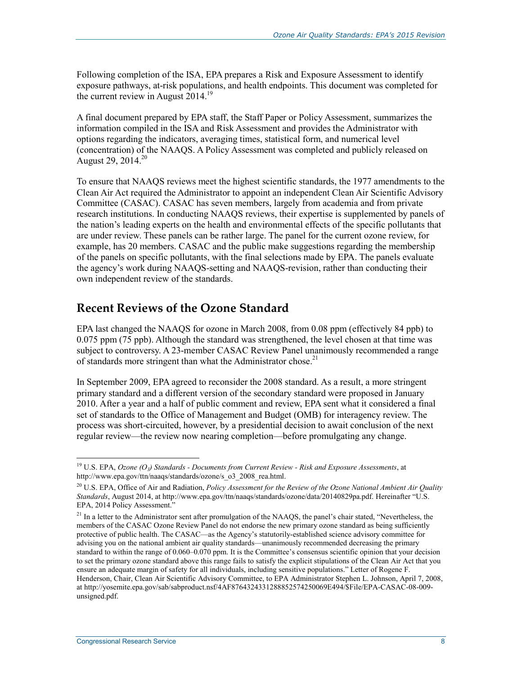Following completion of the ISA, EPA prepares a Risk and Exposure Assessment to identify exposure pathways, at-risk populations, and health endpoints. This document was completed for the current review in August  $2014$ <sup>19</sup>

A final document prepared by EPA staff, the Staff Paper or Policy Assessment, summarizes the information compiled in the ISA and Risk Assessment and provides the Administrator with options regarding the indicators, averaging times, statistical form, and numerical level (concentration) of the NAAQS. A Policy Assessment was completed and publicly released on August 29, 2014.<sup>20</sup>

To ensure that NAAQS reviews meet the highest scientific standards, the 1977 amendments to the Clean Air Act required the Administrator to appoint an independent Clean Air Scientific Advisory Committee (CASAC). CASAC has seven members, largely from academia and from private research institutions. In conducting NAAQS reviews, their expertise is supplemented by panels of the nation's leading experts on the health and environmental effects of the specific pollutants that are under review. These panels can be rather large. The panel for the current ozone review, for example, has 20 members. CASAC and the public make suggestions regarding the membership of the panels on specific pollutants, with the final selections made by EPA. The panels evaluate the agency's work during NAAQS-setting and NAAQS-revision, rather than conducting their own independent review of the standards.

### **Recent Reviews of the Ozone Standard**

EPA last changed the NAAQS for ozone in March 2008, from 0.08 ppm (effectively 84 ppb) to 0.075 ppm (75 ppb). Although the standard was strengthened, the level chosen at that time was subject to controversy. A 23-member CASAC Review Panel unanimously recommended a range of standards more stringent than what the Administrator chose.<sup>21</sup>

In September 2009, EPA agreed to reconsider the 2008 standard. As a result, a more stringent primary standard and a different version of the secondary standard were proposed in January 2010. After a year and a half of public comment and review, EPA sent what it considered a final set of standards to the Office of Management and Budget (OMB) for interagency review. The process was short-circuited, however, by a presidential decision to await conclusion of the next regular review—the review now nearing completion—before promulgating any change.

<sup>19</sup> U.S. EPA, *Ozone (O3) Standards - Documents from Current Review - Risk and Exposure Assessments*, at http://www.epa.gov/ttn/naaqs/standards/ozone/s\_o3\_2008\_rea.html.

<sup>&</sup>lt;sup>20</sup> U.S. EPA, Office of Air and Radiation, *Policy Assessment for the Review of the Ozone National Ambient Air Quality Standards*, August 2014, at http://www.epa.gov/ttn/naaqs/standards/ozone/data/20140829pa.pdf. Hereinafter "U.S. EPA, 2014 Policy Assessment.'

<sup>&</sup>lt;sup>21</sup> In a letter to the Administrator sent after promulgation of the NAAQS, the panel's chair stated, "Nevertheless, the members of the CASAC Ozone Review Panel do not endorse the new primary ozone standard as being sufficiently protective of public health. The CASAC—as the Agency's statutorily-established science advisory committee for advising you on the national ambient air quality standards—unanimously recommended decreasing the primary standard to within the range of 0.060–0.070 ppm. It is the Committee's consensus scientific opinion that your decision to set the primary ozone standard above this range fails to satisfy the explicit stipulations of the Clean Air Act that you ensure an adequate margin of safety for all individuals, including sensitive populations." Letter of Rogene F. Henderson, Chair, Clean Air Scientific Advisory Committee, to EPA Administrator Stephen L. Johnson, April 7, 2008, at http://yosemite.epa.gov/sab/sabproduct.nsf/4AF8764324331288852574250069E494/\$File/EPA-CASAC-08-009 unsigned.pdf.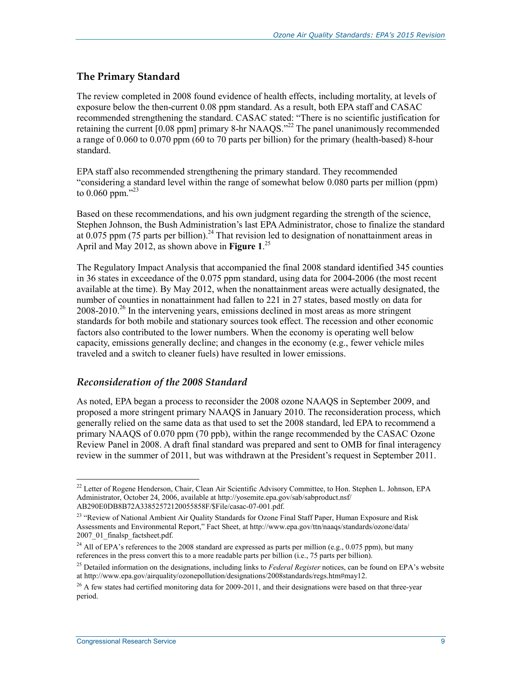#### **The Primary Standard**

The review completed in 2008 found evidence of health effects, including mortality, at levels of exposure below the then-current 0.08 ppm standard. As a result, both EPA staff and CASAC recommended strengthening the standard. CASAC stated: "There is no scientific justification for retaining the current  $[0.08 \text{ ppm}]$  primary 8-hr NAAQS.<sup>32</sup> The panel unanimously recommended a range of 0.060 to 0.070 ppm (60 to 70 parts per billion) for the primary (health-based) 8-hour standard.

EPA staff also recommended strengthening the primary standard. They recommended "considering a standard level within the range of somewhat below 0.080 parts per million (ppm) to  $0.060$  ppm."23

Based on these recommendations, and his own judgment regarding the strength of the science, Stephen Johnson, the Bush Administration's last EPA Administrator, chose to finalize the standard at  $0.075$  ppm (75 parts per billion).<sup>24</sup> That revision led to designation of nonattainment areas in April and May 2012, as shown above in **Figure 1**. 25

The Regulatory Impact Analysis that accompanied the final 2008 standard identified 345 counties in 36 states in exceedance of the 0.075 ppm standard, using data for 2004-2006 (the most recent available at the time). By May 2012, when the nonattainment areas were actually designated, the number of counties in nonattainment had fallen to 221 in 27 states, based mostly on data for  $2008-2010<sup>26</sup>$  In the intervening years, emissions declined in most areas as more stringent standards for both mobile and stationary sources took effect. The recession and other economic factors also contributed to the lower numbers. When the economy is operating well below capacity, emissions generally decline; and changes in the economy (e.g., fewer vehicle miles traveled and a switch to cleaner fuels) have resulted in lower emissions.

#### *Reconsideration of the 2008 Standard*

As noted, EPA began a process to reconsider the 2008 ozone NAAQS in September 2009, and proposed a more stringent primary NAAQS in January 2010. The reconsideration process, which generally relied on the same data as that used to set the 2008 standard, led EPA to recommend a primary NAAQS of 0.070 ppm (70 ppb), within the range recommended by the CASAC Ozone Review Panel in 2008. A draft final standard was prepared and sent to OMB for final interagency review in the summer of 2011, but was withdrawn at the President's request in September 2011.

<sup>&</sup>lt;sup>22</sup> Letter of Rogene Henderson, Chair, Clean Air Scientific Advisory Committee, to Hon. Stephen L. Johnson, EPA Administrator, October 24, 2006, available at http://yosemite.epa.gov/sab/sabproduct.nsf/ AB290E0DB8B72A33852572120055858F/\$File/casac-07-001.pdf.

<sup>&</sup>lt;sup>23</sup> "Review of National Ambient Air Quality Standards for Ozone Final Staff Paper, Human Exposure and Risk Assessments and Environmental Report," Fact Sheet, at http://www.epa.gov/ttn/naaqs/standards/ozone/data/ 2007\_01\_finalsp\_factsheet.pdf.

<sup>&</sup>lt;sup>24</sup> All of EPA's references to the 2008 standard are expressed as parts per million (e.g., 0.075 ppm), but many references in the press convert this to a more readable parts per billion (i.e., 75 parts per billion).

<sup>25</sup> Detailed information on the designations, including links to *Federal Register* notices, can be found on EPA's website at http://www.epa.gov/airquality/ozonepollution/designations/2008standards/regs.htm#may12.

 $^{26}$  A few states had certified monitoring data for 2009-2011, and their designations were based on that three-year period.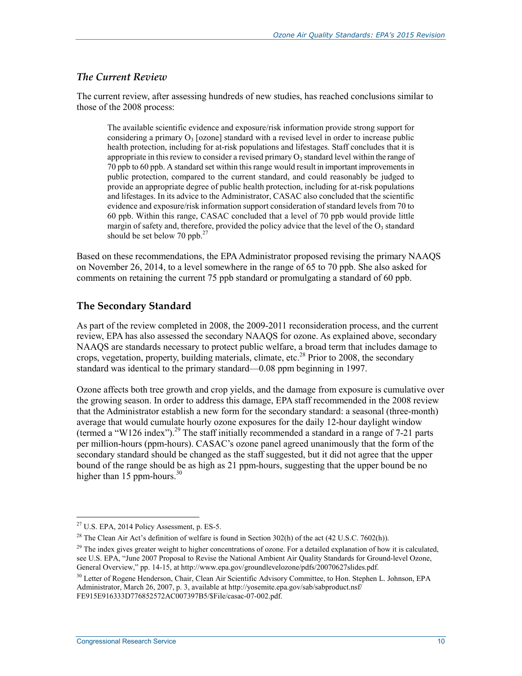#### *The Current Review*

The current review, after assessing hundreds of new studies, has reached conclusions similar to those of the 2008 process:

The available scientific evidence and exposure/risk information provide strong support for considering a primary  $O_3$  [ozone] standard with a revised level in order to increase public health protection, including for at-risk populations and lifestages. Staff concludes that it is appropriate in this review to consider a revised primary  $O_3$  standard level within the range of 70 ppb to 60 ppb. A standard set within this range would result in important improvements in public protection, compared to the current standard, and could reasonably be judged to provide an appropriate degree of public health protection, including for at-risk populations and lifestages. In its advice to the Administrator, CASAC also concluded that the scientific evidence and exposure/risk information support consideration of standard levels from 70 to 60 ppb. Within this range, CASAC concluded that a level of 70 ppb would provide little margin of safety and, therefore, provided the policy advice that the level of the  $O_3$  standard should be set below 70 ppb. $27$ 

Based on these recommendations, the EPA Administrator proposed revising the primary NAAQS on November 26, 2014, to a level somewhere in the range of 65 to 70 ppb. She also asked for comments on retaining the current 75 ppb standard or promulgating a standard of 60 ppb.

#### **The Secondary Standard**

As part of the review completed in 2008, the 2009-2011 reconsideration process, and the current review, EPA has also assessed the secondary NAAQS for ozone. As explained above, secondary NAAQS are standards necessary to protect public welfare, a broad term that includes damage to crops, vegetation, property, building materials, climate, etc.<sup>28</sup> Prior to 2008, the secondary standard was identical to the primary standard—0.08 ppm beginning in 1997.

Ozone affects both tree growth and crop yields, and the damage from exposure is cumulative over the growing season. In order to address this damage, EPA staff recommended in the 2008 review that the Administrator establish a new form for the secondary standard: a seasonal (three-month) average that would cumulate hourly ozone exposures for the daily 12-hour daylight window (termed a "W126 index").<sup>29</sup> The staff initially recommended a standard in a range of 7-21 parts per million-hours (ppm-hours). CASAC's ozone panel agreed unanimously that the form of the secondary standard should be changed as the staff suggested, but it did not agree that the upper bound of the range should be as high as 21 ppm-hours, suggesting that the upper bound be no higher than 15 ppm-hours. $30$ 

 $27$  U.S. EPA, 2014 Policy Assessment, p. ES-5.

<sup>&</sup>lt;sup>28</sup> The Clean Air Act's definition of welfare is found in Section 302(h) of the act (42 U.S.C. 7602(h)).

<sup>&</sup>lt;sup>29</sup> The index gives greater weight to higher concentrations of ozone. For a detailed explanation of how it is calculated, see U.S. EPA, "June 2007 Proposal to Revise the National Ambient Air Quality Standards for Ground-level Ozone, General Overview," pp. 14-15, at http://www.epa.gov/groundlevelozone/pdfs/20070627slides.pdf.

<sup>&</sup>lt;sup>30</sup> Letter of Rogene Henderson, Chair, Clean Air Scientific Advisory Committee, to Hon. Stephen L. Johnson, EPA Administrator, March 26, 2007, p. 3, available at http://yosemite.epa.gov/sab/sabproduct.nsf/ FE915E916333D776852572AC007397B5/\$File/casac-07-002.pdf.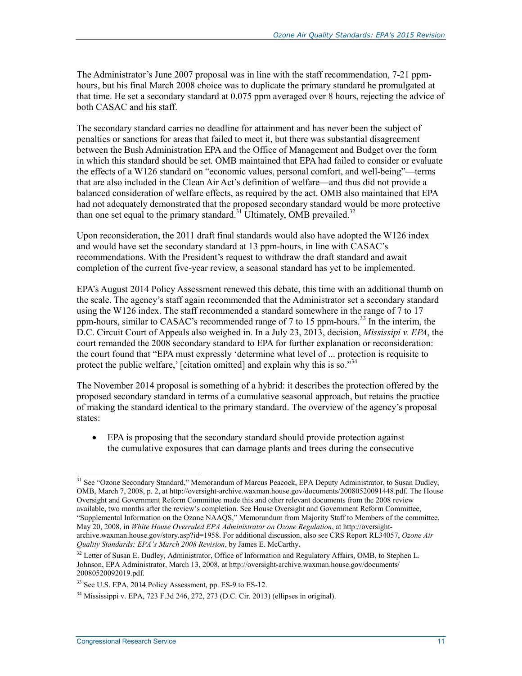The Administrator's June 2007 proposal was in line with the staff recommendation, 7-21 ppmhours, but his final March 2008 choice was to duplicate the primary standard he promulgated at that time. He set a secondary standard at 0.075 ppm averaged over 8 hours, rejecting the advice of both CASAC and his staff.

The secondary standard carries no deadline for attainment and has never been the subject of penalties or sanctions for areas that failed to meet it, but there was substantial disagreement between the Bush Administration EPA and the Office of Management and Budget over the form in which this standard should be set. OMB maintained that EPA had failed to consider or evaluate the effects of a W126 standard on "economic values, personal comfort, and well-being"—terms that are also included in the Clean Air Act's definition of welfare—and thus did not provide a balanced consideration of welfare effects, as required by the act. OMB also maintained that EPA had not adequately demonstrated that the proposed secondary standard would be more protective than one set equal to the primary standard.<sup>31</sup> Ultimately, OMB prevailed.<sup>32</sup>

Upon reconsideration, the 2011 draft final standards would also have adopted the W126 index and would have set the secondary standard at 13 ppm-hours, in line with CASAC's recommendations. With the President's request to withdraw the draft standard and await completion of the current five-year review, a seasonal standard has yet to be implemented.

EPA's August 2014 Policy Assessment renewed this debate, this time with an additional thumb on the scale. The agency's staff again recommended that the Administrator set a secondary standard using the W126 index. The staff recommended a standard somewhere in the range of 7 to 17 ppm-hours, similar to CASAC's recommended range of 7 to 15 ppm-hours.<sup>33</sup> In the interim, the D.C. Circuit Court of Appeals also weighed in. In a July 23, 2013, decision, *Mississipi v. EPA*, the court remanded the 2008 secondary standard to EPA for further explanation or reconsideration: the court found that "EPA must expressly 'determine what level of ... protection is requisite to protect the public welfare,' [citation omitted] and explain why this is so." $34$ 

The November 2014 proposal is something of a hybrid: it describes the protection offered by the proposed secondary standard in terms of a cumulative seasonal approach, but retains the practice of making the standard identical to the primary standard. The overview of the agency's proposal states:

• EPA is proposing that the secondary standard should provide protection against the cumulative exposures that can damage plants and trees during the consecutive

<u>.</u>

<sup>&</sup>lt;sup>31</sup> See "Ozone Secondary Standard," Memorandum of Marcus Peacock, EPA Deputy Administrator, to Susan Dudley, OMB, March 7, 2008, p. 2, at http://oversight-archive.waxman.house.gov/documents/20080520091448.pdf. The House Oversight and Government Reform Committee made this and other relevant documents from the 2008 review available, two months after the review's completion. See House Oversight and Government Reform Committee, "Supplemental Information on the Ozone NAAQS," Memorandum from Majority Staff to Members of the committee, May 20, 2008, in *White House Overruled EPA Administrator on Ozone Regulation*, at http://oversightarchive.waxman.house.gov/story.asp?id=1958. For additional discussion, also see CRS Report RL34057, *Ozone Air Quality Standards: EPA's March 2008 Revision*, by James E. McCarthy.

<sup>&</sup>lt;sup>32</sup> Letter of Susan E. Dudley, Administrator, Office of Information and Regulatory Affairs, OMB, to Stephen L. Johnson, EPA Administrator, March 13, 2008, at http://oversight-archive.waxman.house.gov/documents/ 20080520092019.pdf.

<sup>&</sup>lt;sup>33</sup> See U.S. EPA, 2014 Policy Assessment, pp. ES-9 to ES-12.

 $34$  Mississippi v. EPA, 723 F.3d 246, 272, 273 (D.C. Cir. 2013) (ellipses in original).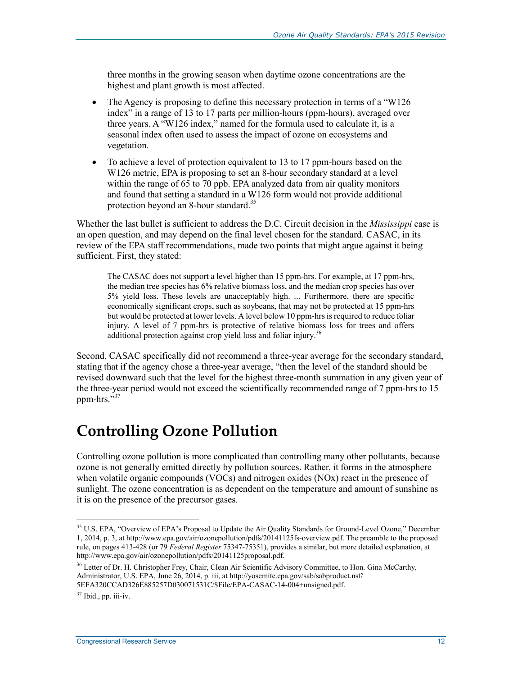three months in the growing season when daytime ozone concentrations are the highest and plant growth is most affected.

- The Agency is proposing to define this necessary protection in terms of a "W126" index" in a range of 13 to 17 parts per million-hours (ppm-hours), averaged over three years. A "W126 index," named for the formula used to calculate it, is a seasonal index often used to assess the impact of ozone on ecosystems and vegetation.
- To achieve a level of protection equivalent to 13 to 17 ppm-hours based on the W126 metric, EPA is proposing to set an 8-hour secondary standard at a level within the range of 65 to 70 ppb. EPA analyzed data from air quality monitors and found that setting a standard in a W126 form would not provide additional protection beyond an 8-hour standard.<sup>35</sup>

Whether the last bullet is sufficient to address the D.C. Circuit decision in the *Mississippi* case is an open question, and may depend on the final level chosen for the standard. CASAC, in its review of the EPA staff recommendations, made two points that might argue against it being sufficient. First, they stated:

The CASAC does not support a level higher than 15 ppm-hrs. For example, at 17 ppm-hrs, the median tree species has 6% relative biomass loss, and the median crop species has over 5% yield loss. These levels are unacceptably high. ... Furthermore, there are specific economically significant crops, such as soybeans, that may not be protected at 15 ppm-hrs but would be protected at lower levels. A level below 10 ppm-hrs is required to reduce foliar injury. A level of 7 ppm-hrs is protective of relative biomass loss for trees and offers additional protection against crop yield loss and foliar injury.<sup>36</sup>

Second, CASAC specifically did not recommend a three-year average for the secondary standard, stating that if the agency chose a three-year average, "then the level of the standard should be revised downward such that the level for the highest three-month summation in any given year of the three-year period would not exceed the scientifically recommended range of 7 ppm-hrs to 15 ppm-hrs."<sup>37</sup>

## **Controlling Ozone Pollution**

Controlling ozone pollution is more complicated than controlling many other pollutants, because ozone is not generally emitted directly by pollution sources. Rather, it forms in the atmosphere when volatile organic compounds (VOCs) and nitrogen oxides (NOx) react in the presence of sunlight. The ozone concentration is as dependent on the temperature and amount of sunshine as it is on the presence of the precursor gases.

<sup>&</sup>lt;sup>35</sup> U.S. EPA, "Overview of EPA's Proposal to Update the Air Quality Standards for Ground-Level Ozone," December 1, 2014, p. 3, at http://www.epa.gov/air/ozonepollution/pdfs/20141125fs-overview.pdf. The preamble to the proposed rule, on pages 413-428 (or 79 *Federal Register* 75347-75351), provides a similar, but more detailed explanation, at http://www.epa.gov/air/ozonepollution/pdfs/20141125proposal.pdf.

<sup>&</sup>lt;sup>36</sup> Letter of Dr. H. Christopher Frey, Chair, Clean Air Scientific Advisory Committee, to Hon. Gina McCarthy, Administrator, U.S. EPA, June 26, 2014, p. iii, at http://yosemite.epa.gov/sab/sabproduct.nsf/ 5EFA320CCAD326E885257D030071531C/\$File/EPA-CASAC-14-004+unsigned.pdf.

 $37$  Ibid., pp. iii-iv.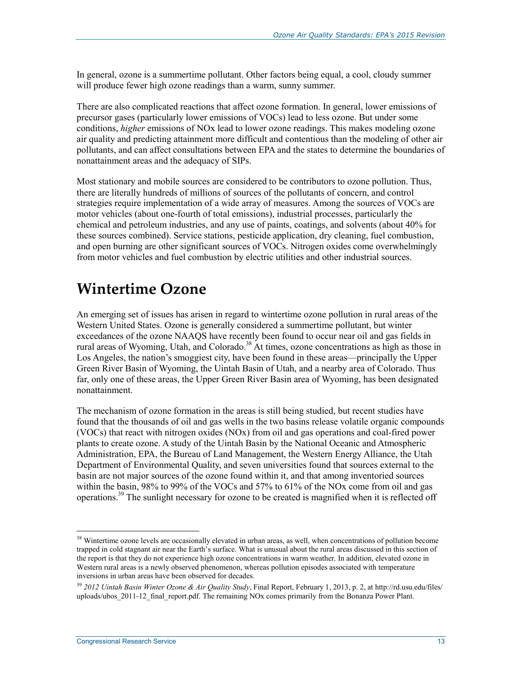In general, ozone is a summertime pollutant. Other factors being equal, a cool, cloudy summer will produce fewer high ozone readings than a warm, sunny summer.

There are also complicated reactions that affect ozone formation. In general, lower emissions of precursor gases (particularly lower emissions of VOCs) lead to less ozone. But under some conditions, *higher* emissions of NOx lead to lower ozone readings. This makes modeling ozone air quality and predicting attainment more difficult and contentious than the modeling of other air pollutants, and can affect consultations between EPA and the states to determine the boundaries of nonattainment areas and the adequacy of SIPs.

Most stationary and mobile sources are considered to be contributors to ozone pollution. Thus, there are literally hundreds of millions of sources of the pollutants of concern, and control strategies require implementation of a wide array of measures. Among the sources of VOCs are motor vehicles (about one-fourth of total emissions), industrial processes, particularly the chemical and petroleum industries, and any use of paints, coatings, and solvents (about 40% for these sources combined). Service stations, pesticide application, dry cleaning, fuel combustion, and open burning are other significant sources of VOCs. Nitrogen oxides come overwhelmingly from motor vehicles and fuel combustion by electric utilities and other industrial sources.

## **Wintertime Ozone**

An emerging set of issues has arisen in regard to wintertime ozone pollution in rural areas of the Western United States. Ozone is generally considered a summertime pollutant, but winter exceedances of the ozone NAAQS have recently been found to occur near oil and gas fields in rural areas of Wyoming, Utah, and Colorado.<sup>38</sup> At times, ozone concentrations as high as those in Los Angeles, the nation's smoggiest city, have been found in these areas—principally the Upper Green River Basin of Wyoming, the Uintah Basin of Utah, and a nearby area of Colorado. Thus far, only one of these areas, the Upper Green River Basin area of Wyoming, has been designated nonattainment.

The mechanism of ozone formation in the areas is still being studied, but recent studies have found that the thousands of oil and gas wells in the two basins release volatile organic compounds (VOCs) that react with nitrogen oxides (NOx) from oil and gas operations and coal-fired power plants to create ozone. A study of the Uintah Basin by the National Oceanic and Atmospheric Administration, EPA, the Bureau of Land Management, the Western Energy Alliance, the Utah Department of Environmental Quality, and seven universities found that sources external to the basin are not major sources of the ozone found within it, and that among inventoried sources within the basin, 98% to 99% of the VOCs and 57% to 61% of the NOx come from oil and gas operations.39 The sunlight necessary for ozone to be created is magnified when it is reflected off

<sup>&</sup>lt;sup>38</sup> Wintertime ozone levels are occasionally elevated in urban areas, as well, when concentrations of pollution become trapped in cold stagnant air near the Earth's surface. What is unusual about the rural areas discussed in this section of the report is that they do not experience high ozone concentrations in warm weather. In addition, elevated ozone in Western rural areas is a newly observed phenomenon, whereas pollution episodes associated with temperature inversions in urban areas have been observed for decades.

<sup>39</sup> *2012 Uintah Basin Winter Ozone & Air Quality Study*, Final Report, February 1, 2013, p. 2, at http://rd.usu.edu/files/ uploads/ubos 2011-12 final\_report.pdf. The remaining NOx comes primarily from the Bonanza Power Plant.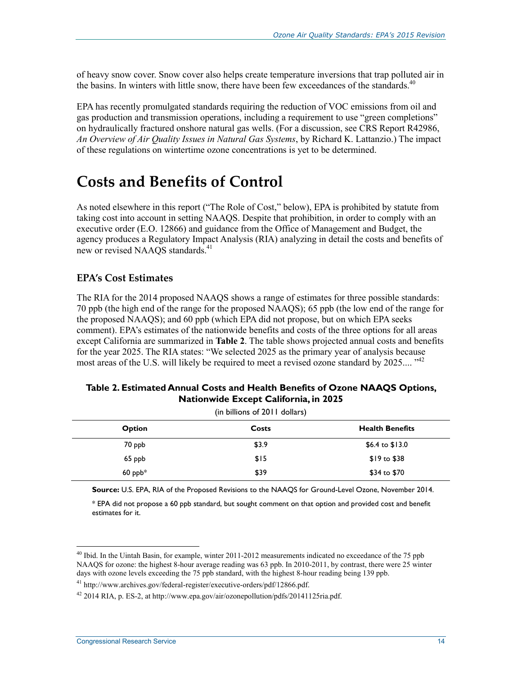of heavy snow cover. Snow cover also helps create temperature inversions that trap polluted air in the basins. In winters with little snow, there have been few exceedances of the standards.<sup>40</sup>

EPA has recently promulgated standards requiring the reduction of VOC emissions from oil and gas production and transmission operations, including a requirement to use "green completions" on hydraulically fractured onshore natural gas wells. (For a discussion, see CRS Report R42986, *An Overview of Air Quality Issues in Natural Gas Systems*, by Richard K. Lattanzio.) The impact of these regulations on wintertime ozone concentrations is yet to be determined.

## **Costs and Benefits of Control**

As noted elsewhere in this report ("The Role of Cost," below), EPA is prohibited by statute from taking cost into account in setting NAAQS. Despite that prohibition, in order to comply with an executive order (E.O. 12866) and guidance from the Office of Management and Budget, the agency produces a Regulatory Impact Analysis (RIA) analyzing in detail the costs and benefits of new or revised NAAQS standards.<sup>41</sup>

### **EPA's Cost Estimates**

The RIA for the 2014 proposed NAAQS shows a range of estimates for three possible standards: 70 ppb (the high end of the range for the proposed NAAQS); 65 ppb (the low end of the range for the proposed NAAQS); and 60 ppb (which EPA did not propose, but on which EPA seeks comment). EPA's estimates of the nationwide benefits and costs of the three options for all areas except California are summarized in **Table 2**. The table shows projected annual costs and benefits for the year 2025. The RIA states: "We selected 2025 as the primary year of analysis because most areas of the U.S. will likely be required to meet a revised ozone standard by 2025.... "<sup>42</sup>

#### **Table 2. Estimated Annual Costs and Health Benefits of Ozone NAAQS Options, Nationwide Except California, in 2025**

| (in billions of 2011 dollars) |       |                        |  |  |  |
|-------------------------------|-------|------------------------|--|--|--|
| <b>Option</b>                 | Costs | <b>Health Benefits</b> |  |  |  |
| 70 ppb                        | \$3.9 | \$6.4 to $$13.0$       |  |  |  |
| 65 ppb                        | \$15  | $$19 \text{ to } $38$  |  |  |  |
| $60$ ppb*                     | \$39  | \$34 to \$70           |  |  |  |

**Source:** U.S. EPA, RIA of the Proposed Revisions to the NAAQS for Ground-Level Ozone, November 2014.

\* EPA did not propose a 60 ppb standard, but sought comment on that option and provided cost and benefit estimates for it.

<sup>&</sup>lt;sup>40</sup> Ibid. In the Uintah Basin, for example, winter 2011-2012 measurements indicated no exceedance of the 75 ppb NAAQS for ozone: the highest 8-hour average reading was 63 ppb. In 2010-2011, by contrast, there were 25 winter days with ozone levels exceeding the 75 ppb standard, with the highest 8-hour reading being 139 ppb.

<sup>41</sup> http://www.archives.gov/federal-register/executive-orders/pdf/12866.pdf.

 $^{42}$  2014 RIA, p. ES-2, at http://www.epa.gov/air/ozonepollution/pdfs/20141125ria.pdf.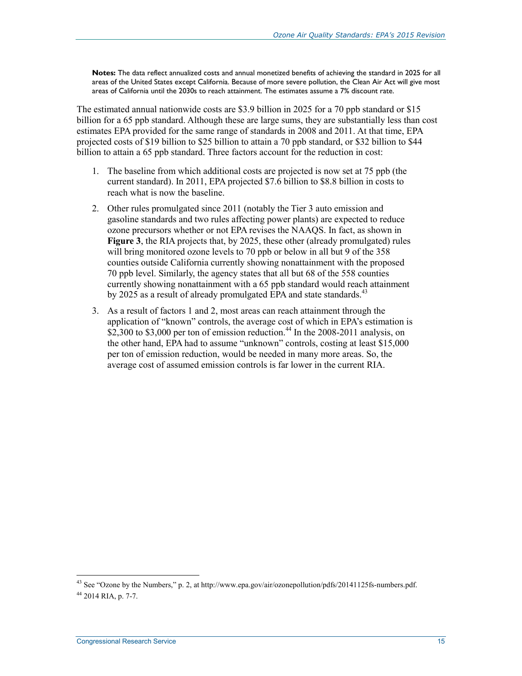**Notes:** The data reflect annualized costs and annual monetized benefits of achieving the standard in 2025 for all areas of the United States except California. Because of more severe pollution, the Clean Air Act will give most areas of California until the 2030s to reach attainment. The estimates assume a 7% discount rate.

The estimated annual nationwide costs are \$3.9 billion in 2025 for a 70 ppb standard or \$15 billion for a 65 ppb standard. Although these are large sums, they are substantially less than cost estimates EPA provided for the same range of standards in 2008 and 2011. At that time, EPA projected costs of \$19 billion to \$25 billion to attain a 70 ppb standard, or \$32 billion to \$44 billion to attain a 65 ppb standard. Three factors account for the reduction in cost:

- 1. The baseline from which additional costs are projected is now set at 75 ppb (the current standard). In 2011, EPA projected \$7.6 billion to \$8.8 billion in costs to reach what is now the baseline.
- 2. Other rules promulgated since 2011 (notably the Tier 3 auto emission and gasoline standards and two rules affecting power plants) are expected to reduce ozone precursors whether or not EPA revises the NAAQS. In fact, as shown in **Figure 3**, the RIA projects that, by 2025, these other (already promulgated) rules will bring monitored ozone levels to 70 ppb or below in all but 9 of the 358 counties outside California currently showing nonattainment with the proposed 70 ppb level. Similarly, the agency states that all but 68 of the 558 counties currently showing nonattainment with a 65 ppb standard would reach attainment by 2025 as a result of already promulgated EPA and state standards.<sup>43</sup>
- 3. As a result of factors 1 and 2, most areas can reach attainment through the application of "known" controls, the average cost of which in EPA's estimation is \$2,300 to \$3,000 per ton of emission reduction.<sup>44</sup> In the 2008-2011 analysis, on the other hand, EPA had to assume "unknown" controls, costing at least \$15,000 per ton of emission reduction, would be needed in many more areas. So, the average cost of assumed emission controls is far lower in the current RIA.

<sup>&</sup>lt;sup>43</sup> See "Ozone by the Numbers," p. 2, at http://www.epa.gov/air/ozonepollution/pdfs/20141125fs-numbers.pdf.  $44$  2014 RIA, p. 7-7.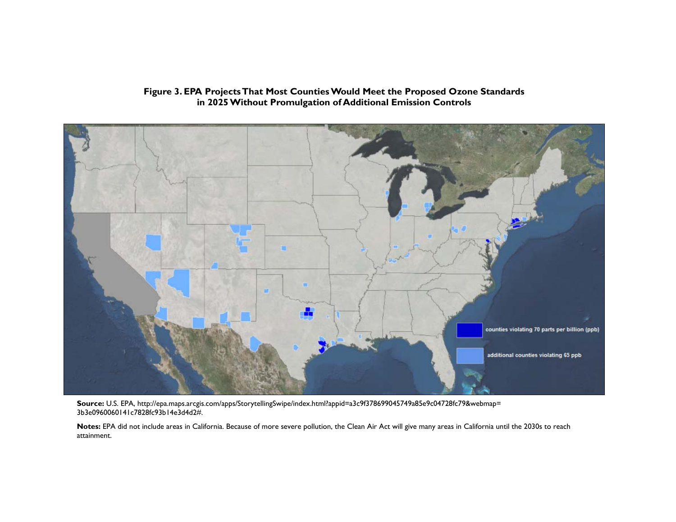#### **Figure 3. EPA Projects That Most Counties Would Meet the Proposed Ozone Standards in 2025 Without Promulgation of Additional Emission Controls**



**Source:** U.S. EPA, http://epa.maps.arcgis.com/apps/StorytellingSwipe/index.html?appid=a3c9f378699045749a85e9c04728fc79&webmap= 3b3e0960060141c7828fc93b14e3d4d2#.

**Notes:** EPA did not include areas in California. Because of more severe pollution, the Clean Air Act will give many areas in California until the 2030s to reach attainment.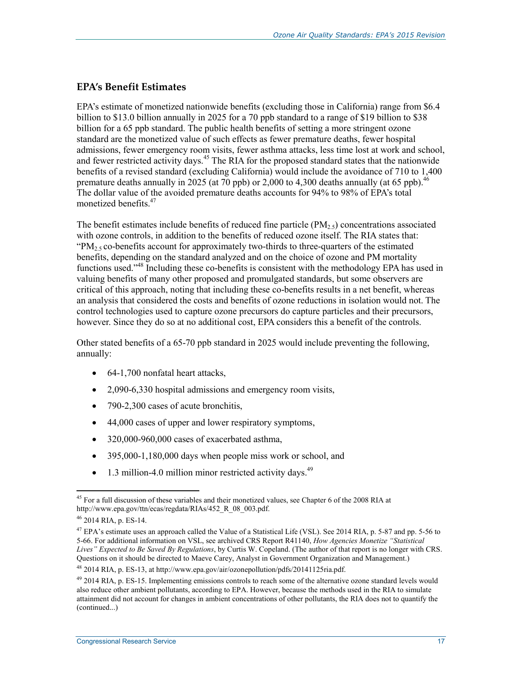#### **EPA's Benefit Estimates**

EPA's estimate of monetized nationwide benefits (excluding those in California) range from \$6.4 billion to \$13.0 billion annually in 2025 for a 70 ppb standard to a range of \$19 billion to \$38 billion for a 65 ppb standard. The public health benefits of setting a more stringent ozone standard are the monetized value of such effects as fewer premature deaths, fewer hospital admissions, fewer emergency room visits, fewer asthma attacks, less time lost at work and school, and fewer restricted activity days.<sup>45</sup> The RIA for the proposed standard states that the nationwide benefits of a revised standard (excluding California) would include the avoidance of 710 to 1,400 premature deaths annually in 2025 (at 70 ppb) or 2,000 to 4,300 deaths annually (at 65 ppb).<sup>46</sup> The dollar value of the avoided premature deaths accounts for 94% to 98% of EPA's total monetized benefits.<sup>47</sup>

The benefit estimates include benefits of reduced fine particle  $(PM_2, \xi)$  concentrations associated with ozone controls, in addition to the benefits of reduced ozone itself. The RIA states that: "PM<sub>2.5</sub> co-benefits account for approximately two-thirds to three-quarters of the estimated benefits, depending on the standard analyzed and on the choice of ozone and PM mortality functions used."48 Including these co-benefits is consistent with the methodology EPA has used in valuing benefits of many other proposed and promulgated standards, but some observers are critical of this approach, noting that including these co-benefits results in a net benefit, whereas an analysis that considered the costs and benefits of ozone reductions in isolation would not. The control technologies used to capture ozone precursors do capture particles and their precursors, however. Since they do so at no additional cost, EPA considers this a benefit of the controls.

Other stated benefits of a 65-70 ppb standard in 2025 would include preventing the following, annually:

- 64-1,700 nonfatal heart attacks,
- 2,090-6,330 hospital admissions and emergency room visits,
- 790-2,300 cases of acute bronchitis,
- 44,000 cases of upper and lower respiratory symptoms,
- 320,000-960,000 cases of exacerbated asthma,
- 395,000-1,180,000 days when people miss work or school, and
- $\bullet$  1.3 million-4.0 million minor restricted activity days.<sup>49</sup>

48 2014 RIA, p. ES-13, at http://www.epa.gov/air/ozonepollution/pdfs/20141125ria.pdf.

<sup>&</sup>lt;u>.</u> <sup>45</sup> For a full discussion of these variables and their monetized values, see Chapter 6 of the 2008 RIA at http://www.epa.gov/ttn/ecas/regdata/RIAs/452\_R\_08\_003.pdf.

<sup>46 2014</sup> RIA, p. ES-14.

<sup>&</sup>lt;sup>47</sup> EPA's estimate uses an approach called the Value of a Statistical Life (VSL). See 2014 RIA, p. 5-87 and pp. 5-56 to 5-66. For additional information on VSL, see archived CRS Report R41140, *How Agencies Monetize "Statistical Lives" Expected to Be Saved By Regulations*, by Curtis W. Copeland. (The author of that report is no longer with CRS. Questions on it should be directed to Maeve Carey, Analyst in Government Organization and Management.)

<sup>&</sup>lt;sup>49</sup> 2014 RIA, p. ES-15. Implementing emissions controls to reach some of the alternative ozone standard levels would also reduce other ambient pollutants, according to EPA. However, because the methods used in the RIA to simulate attainment did not account for changes in ambient concentrations of other pollutants, the RIA does not to quantify the (continued...)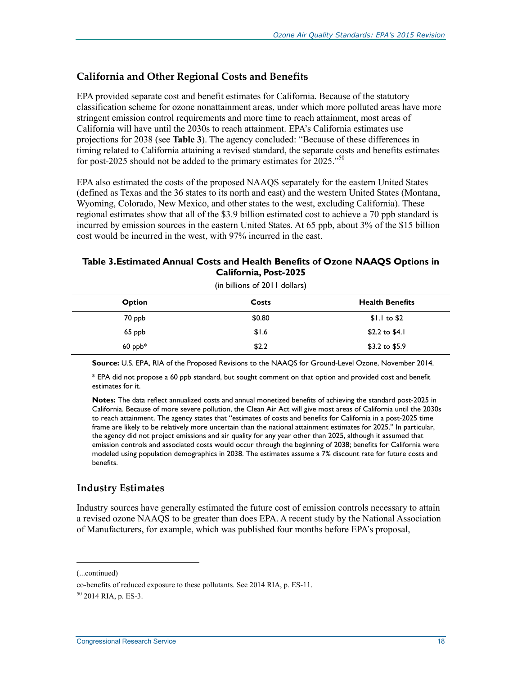#### **California and Other Regional Costs and Benefits**

EPA provided separate cost and benefit estimates for California. Because of the statutory classification scheme for ozone nonattainment areas, under which more polluted areas have more stringent emission control requirements and more time to reach attainment, most areas of California will have until the 2030s to reach attainment. EPA's California estimates use projections for 2038 (see **Table 3**). The agency concluded: "Because of these differences in timing related to California attaining a revised standard, the separate costs and benefits estimates for post-2025 should not be added to the primary estimates for 2025."<sup>50</sup>

EPA also estimated the costs of the proposed NAAQS separately for the eastern United States (defined as Texas and the 36 states to its north and east) and the western United States (Montana, Wyoming, Colorado, New Mexico, and other states to the west, excluding California). These regional estimates show that all of the \$3.9 billion estimated cost to achieve a 70 ppb standard is incurred by emission sources in the eastern United States. At 65 ppb, about 3% of the \$15 billion cost would be incurred in the west, with 97% incurred in the east.

#### **Table 3.Estimated Annual Costs and Health Benefits of Ozone NAAQS Options in California, Post-2025**

| Costs  | <b>Health Benefits</b>        |  |  |  |  |
|--------|-------------------------------|--|--|--|--|
| \$0.80 | $$1.1 \text{ to } $2$$        |  |  |  |  |
| \$1.6  | \$2.2 to $$4.1$               |  |  |  |  |
| \$2.2  | \$3.2 to $$5.9$               |  |  |  |  |
|        | (in billions of 2011 dollars) |  |  |  |  |

(in billions of 2011 dollars)

**Source:** U.S. EPA, RIA of the Proposed Revisions to the NAAQS for Ground-Level Ozone, November 2014.

\* EPA did not propose a 60 ppb standard, but sought comment on that option and provided cost and benefit estimates for it.

**Notes:** The data reflect annualized costs and annual monetized benefits of achieving the standard post-2025 in California. Because of more severe pollution, the Clean Air Act will give most areas of California until the 2030s to reach attainment. The agency states that "estimates of costs and benefits for California in a post-2025 time frame are likely to be relatively more uncertain than the national attainment estimates for 2025." In particular, the agency did not project emissions and air quality for any year other than 2025, although it assumed that emission controls and associated costs would occur through the beginning of 2038; benefits for California were modeled using population demographics in 2038. The estimates assume a 7% discount rate for future costs and benefits.

#### **Industry Estimates**

Industry sources have generally estimated the future cost of emission controls necessary to attain a revised ozone NAAQS to be greater than does EPA. A recent study by the National Association of Manufacturers, for example, which was published four months before EPA's proposal,

<sup>(...</sup>continued)

co-benefits of reduced exposure to these pollutants. See 2014 RIA, p. ES-11.

 $50$  2014 RIA, p. ES-3.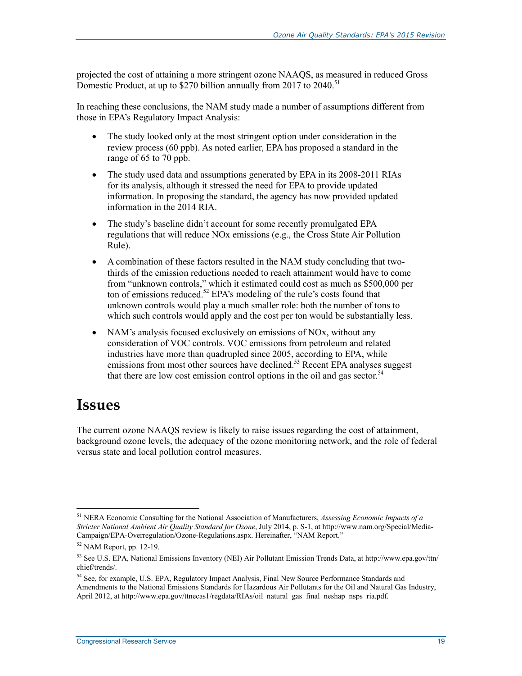projected the cost of attaining a more stringent ozone NAAQS, as measured in reduced Gross Domestic Product, at up to  $$270$  billion annually from 2017 to 2040.<sup>51</sup>

In reaching these conclusions, the NAM study made a number of assumptions different from those in EPA's Regulatory Impact Analysis:

- The study looked only at the most stringent option under consideration in the review process (60 ppb). As noted earlier, EPA has proposed a standard in the range of 65 to 70 ppb.
- The study used data and assumptions generated by EPA in its 2008-2011 RIAs for its analysis, although it stressed the need for EPA to provide updated information. In proposing the standard, the agency has now provided updated information in the 2014 RIA.
- The study's baseline didn't account for some recently promulgated EPA regulations that will reduce NOx emissions (e.g., the Cross State Air Pollution Rule).
- A combination of these factors resulted in the NAM study concluding that twothirds of the emission reductions needed to reach attainment would have to come from "unknown controls," which it estimated could cost as much as \$500,000 per ton of emissions reduced.<sup>52</sup> EPA's modeling of the rule's costs found that unknown controls would play a much smaller role: both the number of tons to which such controls would apply and the cost per ton would be substantially less.
- NAM's analysis focused exclusively on emissions of NO<sub>x</sub>, without any consideration of VOC controls. VOC emissions from petroleum and related industries have more than quadrupled since 2005, according to EPA, while emissions from most other sources have declined.<sup>53</sup> Recent EPA analyses suggest that there are low cost emission control options in the oil and gas sector.<sup>54</sup>

## **Issues**

1

The current ozone NAAQS review is likely to raise issues regarding the cost of attainment, background ozone levels, the adequacy of the ozone monitoring network, and the role of federal versus state and local pollution control measures.

<sup>51</sup> NERA Economic Consulting for the National Association of Manufacturers, *Assessing Economic Impacts of a Stricter National Ambient Air Quality Standard for Ozone*, July 2014, p. S-1, at http://www.nam.org/Special/Media-Campaign/EPA-Overregulation/Ozone-Regulations.aspx. Hereinafter, "NAM Report."

 $52$  NAM Report, pp. 12-19.

<sup>53</sup> See U.S. EPA, National Emissions Inventory (NEI) Air Pollutant Emission Trends Data, at http://www.epa.gov/ttn/ chief/trends/.

<sup>54</sup> See, for example, U.S. EPA, Regulatory Impact Analysis, Final New Source Performance Standards and Amendments to the National Emissions Standards for Hazardous Air Pollutants for the Oil and Natural Gas Industry, April 2012, at http://www.epa.gov/ttnecas1/regdata/RIAs/oil\_natural\_gas\_final\_neshap\_nsps\_ria.pdf.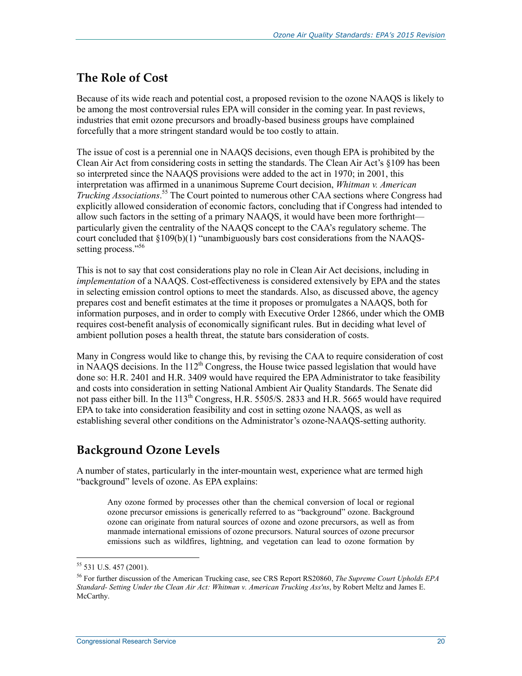### **The Role of Cost**

Because of its wide reach and potential cost, a proposed revision to the ozone NAAQS is likely to be among the most controversial rules EPA will consider in the coming year. In past reviews, industries that emit ozone precursors and broadly-based business groups have complained forcefully that a more stringent standard would be too costly to attain.

The issue of cost is a perennial one in NAAQS decisions, even though EPA is prohibited by the Clean Air Act from considering costs in setting the standards. The Clean Air Act's §109 has been so interpreted since the NAAQS provisions were added to the act in 1970; in 2001, this interpretation was affirmed in a unanimous Supreme Court decision, *Whitman v. American Trucking Associations*. 55 The Court pointed to numerous other CAA sections where Congress had explicitly allowed consideration of economic factors, concluding that if Congress had intended to allow such factors in the setting of a primary NAAQS, it would have been more forthright particularly given the centrality of the NAAQS concept to the CAA's regulatory scheme. The court concluded that §109(b)(1) "unambiguously bars cost considerations from the NAAQSsetting process."<sup>56</sup>

This is not to say that cost considerations play no role in Clean Air Act decisions, including in *implementation* of a NAAQS. Cost-effectiveness is considered extensively by EPA and the states in selecting emission control options to meet the standards. Also, as discussed above, the agency prepares cost and benefit estimates at the time it proposes or promulgates a NAAQS, both for information purposes, and in order to comply with Executive Order 12866, under which the OMB requires cost-benefit analysis of economically significant rules. But in deciding what level of ambient pollution poses a health threat, the statute bars consideration of costs.

Many in Congress would like to change this, by revising the CAA to require consideration of cost in NAAQS decisions. In the  $112<sup>th</sup>$  Congress, the House twice passed legislation that would have done so: H.R. 2401 and H.R. 3409 would have required the EPA Administrator to take feasibility and costs into consideration in setting National Ambient Air Quality Standards. The Senate did not pass either bill. In the  $113<sup>th</sup>$  Congress, H.R. 5505/S. 2833 and H.R. 5665 would have required EPA to take into consideration feasibility and cost in setting ozone NAAQS, as well as establishing several other conditions on the Administrator's ozone-NAAQS-setting authority.

### **Background Ozone Levels**

A number of states, particularly in the inter-mountain west, experience what are termed high "background" levels of ozone. As EPA explains:

Any ozone formed by processes other than the chemical conversion of local or regional ozone precursor emissions is generically referred to as "background" ozone. Background ozone can originate from natural sources of ozone and ozone precursors, as well as from manmade international emissions of ozone precursors. Natural sources of ozone precursor emissions such as wildfires, lightning, and vegetation can lead to ozone formation by

<sup>55 531</sup> U.S. 457 (2001).

<sup>56</sup> For further discussion of the American Trucking case, see CRS Report RS20860, *The Supreme Court Upholds EPA Standard- Setting Under the Clean Air Act: Whitman v. American Trucking Ass'ns*, by Robert Meltz and James E. McCarthy.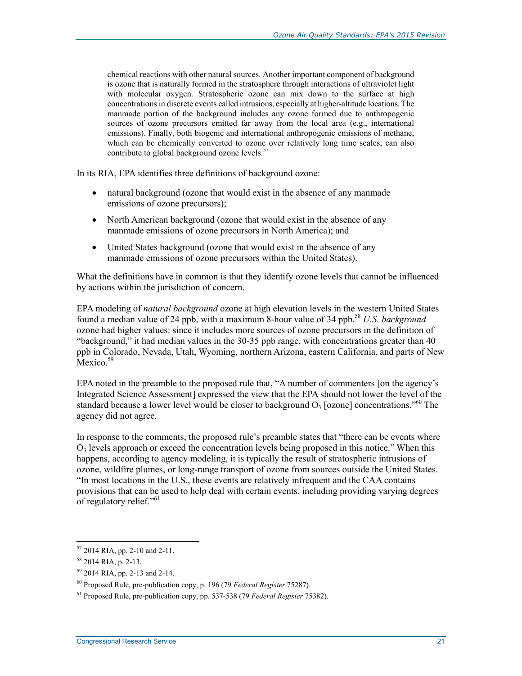chemical reactions with other natural sources. Another important component of background is ozone that is naturally formed in the stratosphere through interactions of ultraviolet light with molecular oxygen. Stratospheric ozone can mix down to the surface at high concentrations in discrete events called intrusions, especially at higher-altitude locations. The manmade portion of the background includes any ozone formed due to anthropogenic sources of ozone precursors emitted far away from the local area (e.g., international emissions). Finally, both biogenic and international anthropogenic emissions of methane, which can be chemically converted to ozone over relatively long time scales, can also contribute to global background ozone levels.<sup>57</sup>

In its RIA, EPA identifies three definitions of background ozone:

- natural background (ozone that would exist in the absence of any manmade emissions of ozone precursors);
- North American background (ozone that would exist in the absence of any manmade emissions of ozone precursors in North America); and
- United States background (ozone that would exist in the absence of any manmade emissions of ozone precursors within the United States).

What the definitions have in common is that they identify ozone levels that cannot be influenced by actions within the jurisdiction of concern.

EPA modeling of *natural background* ozone at high elevation levels in the western United States found a median value of 24 ppb, with a maximum 8-hour value of 34 ppb.58 *U.S. background* ozone had higher values: since it includes more sources of ozone precursors in the definition of "background," it had median values in the 30-35 ppb range, with concentrations greater than 40 ppb in Colorado, Nevada, Utah, Wyoming, northern Arizona, eastern California, and parts of New Mexico.<sup>59</sup>

EPA noted in the preamble to the proposed rule that, "A number of commenters [on the agency's Integrated Science Assessment] expressed the view that the EPA should not lower the level of the standard because a lower level would be closer to background  $O_3$  [ozone] concentrations.<sup>560</sup> The agency did not agree.

In response to the comments, the proposed rule's preamble states that "there can be events where  $O<sub>3</sub>$  levels approach or exceed the concentration levels being proposed in this notice." When this happens, according to agency modeling, it is typically the result of stratospheric intrusions of ozone, wildfire plumes, or long-range transport of ozone from sources outside the United States. "In most locations in the U.S., these events are relatively infrequent and the CAA contains provisions that can be used to help deal with certain events, including providing varying degrees of regulatory relief."<sup>61</sup>

<sup>57 2014</sup> RIA, pp. 2-10 and 2-11.

<sup>58 2014</sup> RIA, p. 2-13.

<sup>59 2014</sup> RIA, pp. 2-13 and 2-14.

<sup>60</sup> Proposed Rule, pre-publication copy, p. 196 (79 *Federal Register* 75287).

<sup>61</sup> Proposed Rule, pre-publication copy, pp. 537-538 (79 *Federal Register* 75382).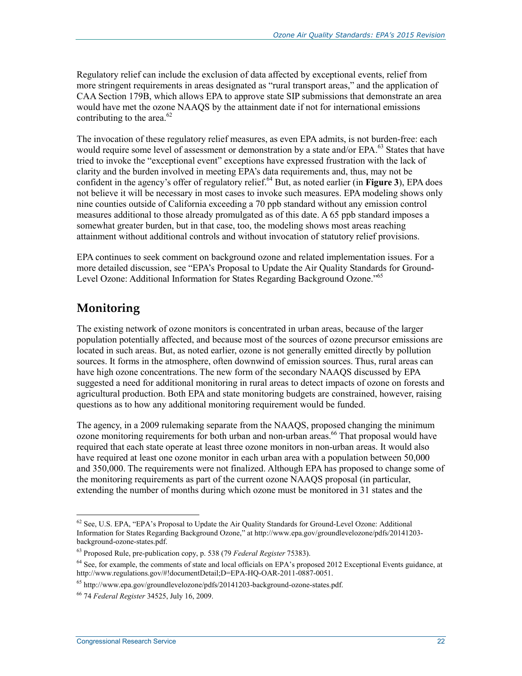Regulatory relief can include the exclusion of data affected by exceptional events, relief from more stringent requirements in areas designated as "rural transport areas," and the application of CAA Section 179B, which allows EPA to approve state SIP submissions that demonstrate an area would have met the ozone NAAQS by the attainment date if not for international emissions contributing to the area. $62$ 

The invocation of these regulatory relief measures, as even EPA admits, is not burden-free: each would require some level of assessment or demonstration by a state and/or EPA.<sup>63</sup> States that have tried to invoke the "exceptional event" exceptions have expressed frustration with the lack of clarity and the burden involved in meeting EPA's data requirements and, thus, may not be confident in the agency's offer of regulatory relief.<sup>64</sup> But, as noted earlier (in **Figure 3**), EPA does not believe it will be necessary in most cases to invoke such measures. EPA modeling shows only nine counties outside of California exceeding a 70 ppb standard without any emission control measures additional to those already promulgated as of this date. A 65 ppb standard imposes a somewhat greater burden, but in that case, too, the modeling shows most areas reaching attainment without additional controls and without invocation of statutory relief provisions.

EPA continues to seek comment on background ozone and related implementation issues. For a more detailed discussion, see "EPA's Proposal to Update the Air Quality Standards for Ground-Level Ozone: Additional Information for States Regarding Background Ozone."65

### **Monitoring**

1

The existing network of ozone monitors is concentrated in urban areas, because of the larger population potentially affected, and because most of the sources of ozone precursor emissions are located in such areas. But, as noted earlier, ozone is not generally emitted directly by pollution sources. It forms in the atmosphere, often downwind of emission sources. Thus, rural areas can have high ozone concentrations. The new form of the secondary NAAQS discussed by EPA suggested a need for additional monitoring in rural areas to detect impacts of ozone on forests and agricultural production. Both EPA and state monitoring budgets are constrained, however, raising questions as to how any additional monitoring requirement would be funded.

The agency, in a 2009 rulemaking separate from the NAAQS, proposed changing the minimum ozone monitoring requirements for both urban and non-urban areas.<sup>66</sup> That proposal would have required that each state operate at least three ozone monitors in non-urban areas. It would also have required at least one ozone monitor in each urban area with a population between 50,000 and 350,000. The requirements were not finalized. Although EPA has proposed to change some of the monitoring requirements as part of the current ozone NAAQS proposal (in particular, extending the number of months during which ozone must be monitored in 31 states and the

<sup>&</sup>lt;sup>62</sup> See, U.S. EPA, "EPA's Proposal to Update the Air Quality Standards for Ground-Level Ozone: Additional Information for States Regarding Background Ozone," at http://www.epa.gov/groundlevelozone/pdfs/20141203 background-ozone-states.pdf.

<sup>63</sup> Proposed Rule, pre-publication copy, p. 538 (79 *Federal Register* 75383).

 $64$  See, for example, the comments of state and local officials on EPA's proposed 2012 Exceptional Events guidance, at http://www.regulations.gov/#!documentDetail;D=EPA-HQ-OAR-2011-0887-0051.

 $65$  http://www.epa.gov/groundlevelozone/pdfs/20141203-background-ozone-states.pdf.

<sup>66 74</sup> *Federal Register* 34525, July 16, 2009.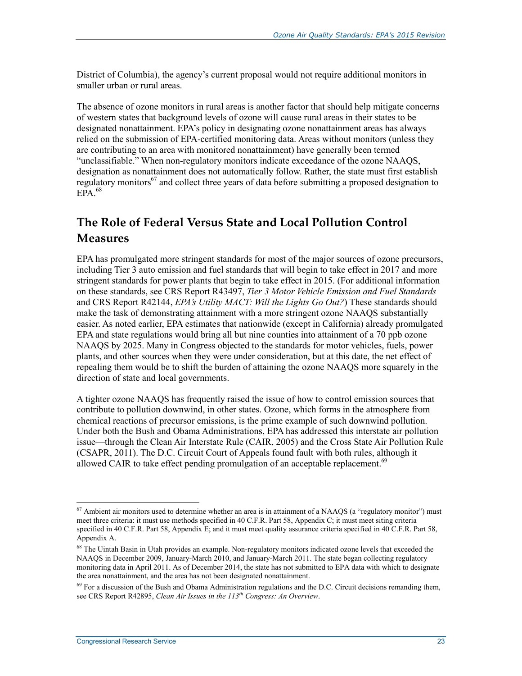District of Columbia), the agency's current proposal would not require additional monitors in smaller urban or rural areas.

The absence of ozone monitors in rural areas is another factor that should help mitigate concerns of western states that background levels of ozone will cause rural areas in their states to be designated nonattainment. EPA's policy in designating ozone nonattainment areas has always relied on the submission of EPA-certified monitoring data. Areas without monitors (unless they are contributing to an area with monitored nonattainment) have generally been termed "unclassifiable." When non-regulatory monitors indicate exceedance of the ozone NAAQS, designation as nonattainment does not automatically follow. Rather, the state must first establish regulatory monitors<sup>67</sup> and collect three years of data before submitting a proposed designation to  $EPA$ <sup>68</sup>

### **The Role of Federal Versus State and Local Pollution Control Measures**

EPA has promulgated more stringent standards for most of the major sources of ozone precursors, including Tier 3 auto emission and fuel standards that will begin to take effect in 2017 and more stringent standards for power plants that begin to take effect in 2015. (For additional information on these standards, see CRS Report R43497, *Tier 3 Motor Vehicle Emission and Fuel Standards* and CRS Report R42144, *EPA's Utility MACT: Will the Lights Go Out?*) These standards should make the task of demonstrating attainment with a more stringent ozone NAAQS substantially easier. As noted earlier, EPA estimates that nationwide (except in California) already promulgated EPA and state regulations would bring all but nine counties into attainment of a 70 ppb ozone NAAQS by 2025. Many in Congress objected to the standards for motor vehicles, fuels, power plants, and other sources when they were under consideration, but at this date, the net effect of repealing them would be to shift the burden of attaining the ozone NAAQS more squarely in the direction of state and local governments.

A tighter ozone NAAQS has frequently raised the issue of how to control emission sources that contribute to pollution downwind, in other states. Ozone, which forms in the atmosphere from chemical reactions of precursor emissions, is the prime example of such downwind pollution. Under both the Bush and Obama Administrations, EPA has addressed this interstate air pollution issue—through the Clean Air Interstate Rule (CAIR, 2005) and the Cross State Air Pollution Rule (CSAPR, 2011). The D.C. Circuit Court of Appeals found fault with both rules, although it allowed CAIR to take effect pending promulgation of an acceptable replacement.<sup>69</sup>

<sup>&</sup>lt;sup>67</sup> Ambient air monitors used to determine whether an area is in attainment of a NAAQS (a "regulatory monitor") must meet three criteria: it must use methods specified in 40 C.F.R. Part 58, Appendix C; it must meet siting criteria specified in 40 C.F.R. Part 58, Appendix E; and it must meet quality assurance criteria specified in 40 C.F.R. Part 58, Appendix A.

<sup>&</sup>lt;sup>68</sup> The Uintah Basin in Utah provides an example. Non-regulatory monitors indicated ozone levels that exceeded the NAAQS in December 2009, January-March 2010, and January-March 2011. The state began collecting regulatory monitoring data in April 2011. As of December 2014, the state has not submitted to EPA data with which to designate the area nonattainment, and the area has not been designated nonattainment.

 $69$  For a discussion of the Bush and Obama Administration regulations and the D.C. Circuit decisions remanding them, see CRS Report R42895, *Clean Air Issues in the 113th Congress: An Overview*.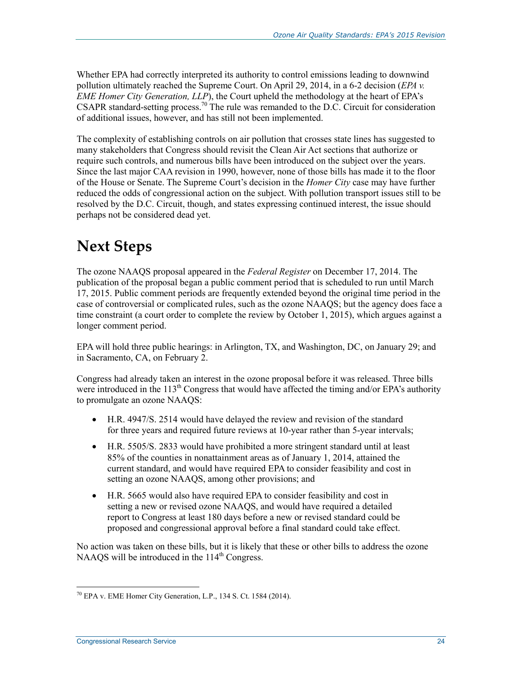Whether EPA had correctly interpreted its authority to control emissions leading to downwind pollution ultimately reached the Supreme Court. On April 29, 2014, in a 6-2 decision (*EPA v. EME Homer City Generation, LLP*), the Court upheld the methodology at the heart of EPA's CSAPR standard-setting process.<sup>70</sup> The rule was remanded to the D.C. Circuit for consideration of additional issues, however, and has still not been implemented.

The complexity of establishing controls on air pollution that crosses state lines has suggested to many stakeholders that Congress should revisit the Clean Air Act sections that authorize or require such controls, and numerous bills have been introduced on the subject over the years. Since the last major CAA revision in 1990, however, none of those bills has made it to the floor of the House or Senate. The Supreme Court's decision in the *Homer City* case may have further reduced the odds of congressional action on the subject. With pollution transport issues still to be resolved by the D.C. Circuit, though, and states expressing continued interest, the issue should perhaps not be considered dead yet.

## **Next Steps**

The ozone NAAQS proposal appeared in the *Federal Register* on December 17, 2014. The publication of the proposal began a public comment period that is scheduled to run until March 17, 2015. Public comment periods are frequently extended beyond the original time period in the case of controversial or complicated rules, such as the ozone NAAQS; but the agency does face a time constraint (a court order to complete the review by October 1, 2015), which argues against a longer comment period.

EPA will hold three public hearings: in Arlington, TX, and Washington, DC, on January 29; and in Sacramento, CA, on February 2.

Congress had already taken an interest in the ozone proposal before it was released. Three bills were introduced in the  $113<sup>th</sup>$  Congress that would have affected the timing and/or EPA's authority to promulgate an ozone NAAQS:

- H.R. 4947/S. 2514 would have delayed the review and revision of the standard for three years and required future reviews at 10-year rather than 5-year intervals;
- H.R. 5505/S. 2833 would have prohibited a more stringent standard until at least 85% of the counties in nonattainment areas as of January 1, 2014, attained the current standard, and would have required EPA to consider feasibility and cost in setting an ozone NAAQS, among other provisions; and
- H.R. 5665 would also have required EPA to consider feasibility and cost in setting a new or revised ozone NAAQS, and would have required a detailed report to Congress at least 180 days before a new or revised standard could be proposed and congressional approval before a final standard could take effect.

No action was taken on these bills, but it is likely that these or other bills to address the ozone NAAQS will be introduced in the  $114<sup>th</sup>$  Congress.

<sup>&</sup>lt;u>.</u>  $^{70}$  EPA v. EME Homer City Generation, L.P., 134 S. Ct. 1584 (2014).